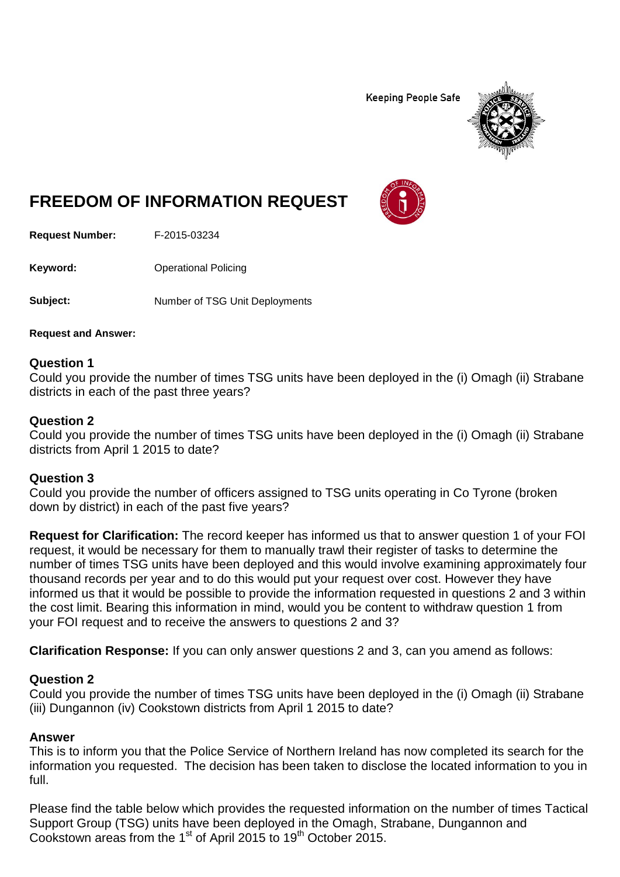**Keeping People Safe** 



# **FREEDOM OF INFORMATION REQUEST**

**Request Number:** F-2015-03234

**Keyword:** Operational Policing

**Subject:** Number of TSG Unit Deployments

**Request and Answer:**

#### **Question 1**

Could you provide the number of times TSG units have been deployed in the (i) Omagh (ii) Strabane districts in each of the past three years?

#### **Question 2**

Could you provide the number of times TSG units have been deployed in the (i) Omagh (ii) Strabane districts from April 1 2015 to date?

#### **Question 3**

Could you provide the number of officers assigned to TSG units operating in Co Tyrone (broken down by district) in each of the past five years?

**Request for Clarification:** The record keeper has informed us that to answer question 1 of your FOI request, it would be necessary for them to manually trawl their register of tasks to determine the number of times TSG units have been deployed and this would involve examining approximately four thousand records per year and to do this would put your request over cost. However they have informed us that it would be possible to provide the information requested in questions 2 and 3 within the cost limit. Bearing this information in mind, would you be content to withdraw question 1 from your FOI request and to receive the answers to questions 2 and 3?

**Clarification Response:** If you can only answer questions 2 and 3, can you amend as follows:

#### **Question 2**

Could you provide the number of times TSG units have been deployed in the (i) Omagh (ii) Strabane (iii) Dungannon (iv) Cookstown districts from April 1 2015 to date?

## **Answer**

This is to inform you that the Police Service of Northern Ireland has now completed its search for the information you requested. The decision has been taken to disclose the located information to you in full.

Please find the table below which provides the requested information on the number of times Tactical Support Group (TSG) units have been deployed in the Omagh, Strabane, Dungannon and Cookstown areas from the 1<sup>st</sup> of April 2015 to 19<sup>th</sup> October 2015.